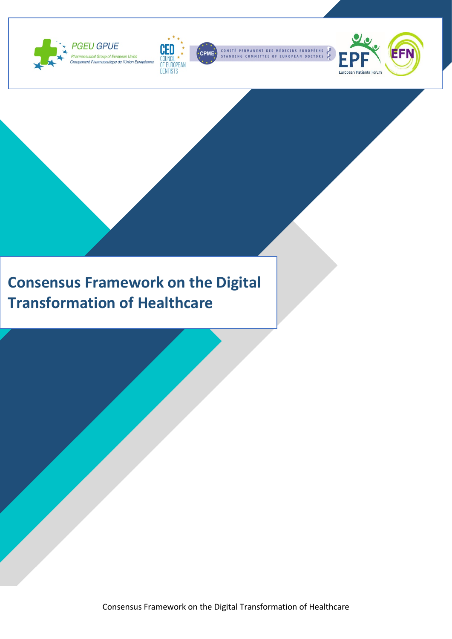



COMITÉ PERMANENT DES MÉDECINS EUROPÉENS<br>STANDING COMMITTEE OF EUROPEAN DOCTORS



### **Consensus Framework on the Digital Transformation of Healthcare**

Consensus Framework on the Digital Transformation of Healthcare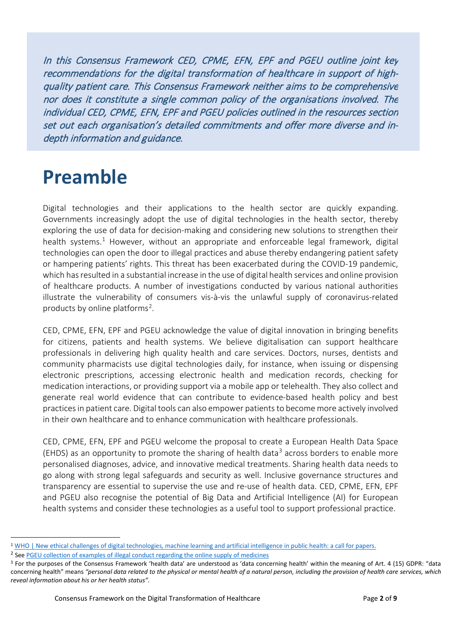In this Consensus Framework CED, CPME, EFN, EPF and PGEU outline joint key recommendations for the digital transformation of healthcare in support of highquality patient care. This Consensus Framework neither aims to be comprehensive nor does it constitute a single common policy of the organisations involved. The individual CED, CPME, EFN, EPF and PGEU policies outlined in the resources section set out each organisation's detailed commitments and offer more diverse and indepth information and guidance.

## **Preamble**

Digital technologies and their applications to the health sector are quickly expanding. Governments increasingly adopt the use of digital technologies in the health sector, thereby exploring the use of data for decision-making and considering new solutions to strengthen their health systems.<sup>[1](#page-1-0)</sup> However, without an appropriate and enforceable legal framework, digital technologies can open the door to illegal practices and abuse thereby endangering patient safety or hampering patients' rights. This threat has been exacerbated during the COVID-19 pandemic, which has resulted in a substantial increase in the use of digital health services and online provision of healthcare products. A number of investigations conducted by various national authorities illustrate the vulnerability of consumers vis-à-vis the unlawful supply of coronavirus-related products by online platforms[2](#page-1-1).

CED, CPME, EFN, EPF and PGEU acknowledge the value of digital innovation in bringing benefits for citizens, patients and health systems. We believe digitalisation can support healthcare professionals in delivering high quality health and care services. Doctors, nurses, dentists and community pharmacists use digital technologies daily, for instance, when issuing or dispensing electronic prescriptions, accessing electronic health and medication records, checking for medication interactions, or providing support via a mobile app or telehealth. They also collect and generate real world evidence that can contribute to evidence-based health policy and best practices in patient care. Digital tools can also empower patients to become more actively involved in their own healthcare and to enhance communication with healthcare professionals.

CED, CPME, EFN, EPF and PGEU welcome the proposal to create a European Health Data Space (EHDS) as an opportunity to promote the sharing of health data<sup>[3](#page-1-2)</sup> across borders to enable more personalised diagnoses, advice, and innovative medical treatments. Sharing health data needs to go along with strong legal safeguards and security as well. Inclusive governance structures and transparency are essential to supervise the use and re-use of health data. CED, CPME, EFN, EPF and PGEU also recognise the potential of Big Data and Artificial Intelligence (AI) for European health systems and consider these technologies as a useful tool to support professional practice.

<span id="page-1-0"></span><sup>1</sup> [WHO | New ethical challenges of digital technologies, machine learning and artificial intelligence in public health: a call for papers.](https://www.who.int/bulletin/volumes/97/1/18-227686/en/)

<span id="page-1-1"></span><sup>&</sup>lt;sup>2</sup> See PGEU collection of examples of illegal conduct regarding the online supply of medicines

<span id="page-1-2"></span><sup>&</sup>lt;sup>3</sup> For the purposes of the Consensus Framework 'health data' are understood as 'data concerning health' within the meaning of Art. 4 (15) GDPR: "data concerning health" means *"personal data related to the physical or mental health of a natural person, including the provision of health care services, which reveal information about his or her health status"*.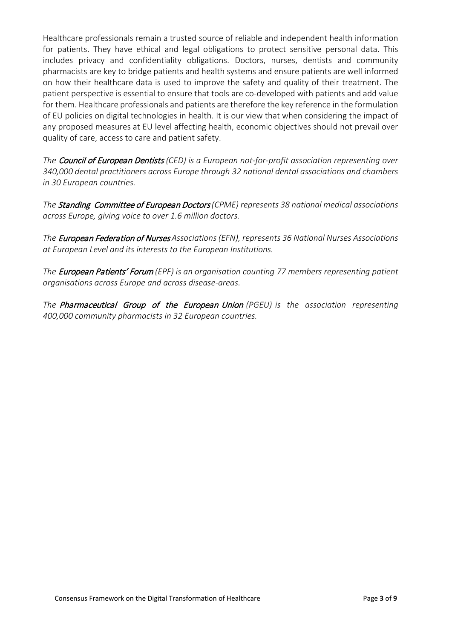Healthcare professionals remain a trusted source of reliable and independent health information for patients. They have ethical and legal obligations to protect sensitive personal data. This includes privacy and confidentiality obligations. Doctors, nurses, dentists and community pharmacists are key to bridge patients and health systems and ensure patients are well informed on how their healthcare data is used to improve the safety and quality of their treatment. The patient perspective is essential to ensure that tools are co-developed with patients and add value for them. Healthcare professionals and patients are therefore the key reference in the formulation of EU policies on digital technologies in health. It is our view that when considering the impact of any proposed measures at EU level affecting health, economic objectives should not prevail over quality of care, access to care and patient safety.

*The* Council of European Dentists *(CED) is a European not-for-profit association representing over 340,000 dental practitioners across Europe through 32 national dental associations and chambers in 30 European countries.*

*The* Standing Committee of European Doctors*(CPME) represents 38 national medical associations across Europe, giving voice to over 1.6 million doctors.*

*The* European Federation of Nurses *Associations (EFN), represents 36 National Nurses Associations at European Level and its interests to the European Institutions.*

*The* European Patients' Forum *(EPF) is an organisation counting 77 members representing patient organisations across Europe and across disease-areas.*

*The* Pharmaceutical Group of the European Union *(PGEU) is the association representing 400,000 community pharmacists in 32 European countries.*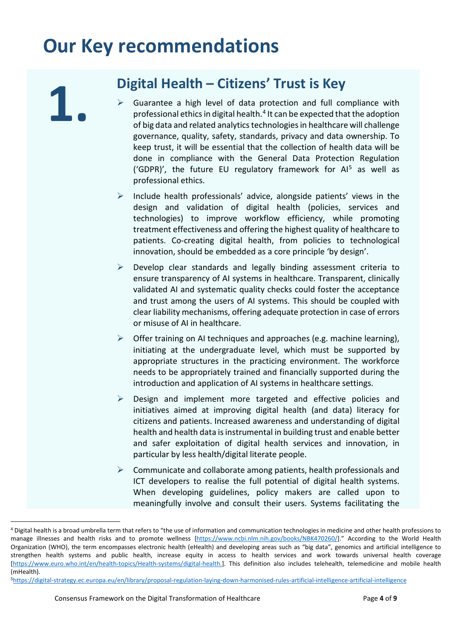## **Our Key recommendations**

# **Digital Health – Citizens' Trust is Key**<br>
► Guarantee a high level of data protection and full cor

- Guarantee a high level of data protection and full compliance with professional ethics in digital health.[4](#page-3-0) It can be expected that the adoption of big data and related analytics technologies in healthcare will challenge governance, quality, safety, standards, privacy and data ownership. To keep trust, it will be essential that the collection of health data will be done in compliance with the General Data Protection Regulation ('GDPR)', the future EU regulatory framework for  $Al<sup>5</sup>$  $Al<sup>5</sup>$  $Al<sup>5</sup>$  as well as professional ethics.
- $\triangleright$  Include health professionals' advice, alongside patients' views in the design and validation of digital health (policies, services and technologies) to improve workflow efficiency, while promoting treatment effectiveness and offering the highest quality of healthcare to patients. Co-creating digital health, from policies to technological innovation, should be embedded as a core principle 'by design'.
- $\triangleright$  Develop clear standards and legally binding assessment criteria to ensure transparency of AI systems in healthcare. Transparent, clinically validated AI and systematic quality checks could foster the acceptance and trust among the users of AI systems. This should be coupled with clear liability mechanisms, offering adequate protection in case of errors or misuse of AI in healthcare.
- $\triangleright$  Offer training on AI techniques and approaches (e.g. machine learning), initiating at the undergraduate level, which must be supported by appropriate structures in the practicing environment. The workforce needs to be appropriately trained and financially supported during the introduction and application of AI systems in healthcare settings.
- $\triangleright$  Design and implement more targeted and effective policies and initiatives aimed at improving digital health (and data) literacy for citizens and patients. Increased awareness and understanding of digital health and health data is instrumental in building trust and enable better and safer exploitation of digital health services and innovation, in particular by less health/digital literate people.
- $\triangleright$  Communicate and collaborate among patients, health professionals and ICT developers to realise the full potential of digital health systems. When developing guidelines, policy makers are called upon to meaningfully involve and consult their users. Systems facilitating the

<span id="page-3-0"></span><sup>4</sup> Digital health is a broad umbrella term that refers to "the use of information and communication technologies in medicine and other health professions to manage illnesses and health risks and to promote wellness [\[https://www.ncbi.nlm.nih.gov/books/NBK470260/\]](https://www.ncbi.nlm.nih.gov/books/NBK470260/)." According to the World Health Organization (WHO), the term encompasses electronic health (eHealth) and developing areas such as "big data", genomics and artificial intelligence to strengthen health systems and public health, increase equity in access to health services and work towards universal health coverage [\[https://www.euro.who.int/en/health-topics/Health-systems/digital-health.](https://www.euro.who.int/en/health-topics/Health-systems/digital-health)]. This definition also includes telehealth, telemedicine and mobile health (mHealth).

<span id="page-3-1"></span>[<sup>5</sup>https://digital-strategy.ec.europa.eu/en/library/proposal-regulation-laying-down-harmonised-rules-artificial-intelligence-artificial-intelligence](https://digital-strategy.ec.europa.eu/en/library/proposal-regulation-laying-down-harmonised-rules-artificial-intelligence-artificial-intelligence)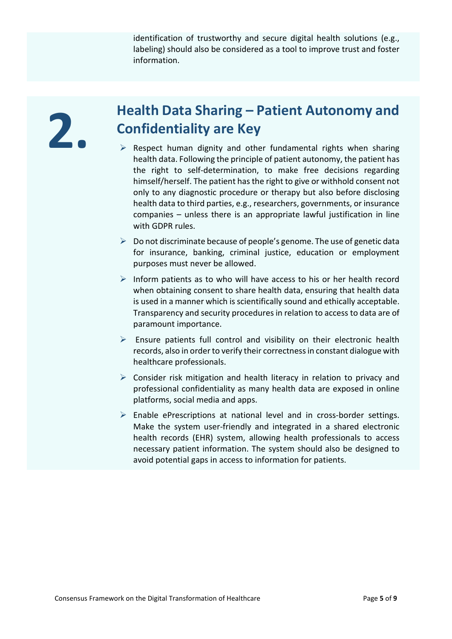identification of trustworthy and secure digital health solutions (e.g., labeling) should also be considered as a tool to improve trust and foster information.

## **2. Health Data Sharing – Patient Autonomy and Confidentiality are Key**

- $\triangleright$  Respect human dignity and other fundamental rights when sharing health data. Following the principle of patient autonomy, the patient has the right to self-determination, to make free decisions regarding himself/herself. The patient has the right to give or withhold consent not only to any diagnostic procedure or therapy but also before disclosing health data to third parties, e.g., researchers, governments, or insurance companies – unless there is an appropriate lawful justification in line with GDPR rules.
- $\triangleright$  Do not discriminate because of people's genome. The use of genetic data for insurance, banking, criminal justice, education or employment purposes must never be allowed.
- $\triangleright$  Inform patients as to who will have access to his or her health record when obtaining consent to share health data, ensuring that health data is used in a manner which is scientifically sound and ethically acceptable. Transparency and security procedures in relation to access to data are of paramount importance.
- $\triangleright$  Ensure patients full control and visibility on their electronic health records, also in order to verify their correctness in constant dialogue with healthcare professionals.
- $\triangleright$  Consider risk mitigation and health literacy in relation to privacy and professional confidentiality as many health data are exposed in online platforms, social media and apps.
- $\triangleright$  Enable ePrescriptions at national level and in cross-border settings. Make the system user-friendly and integrated in a shared electronic health records (EHR) system, allowing health professionals to access necessary patient information. The system should also be designed to avoid potential gaps in access to information for patients.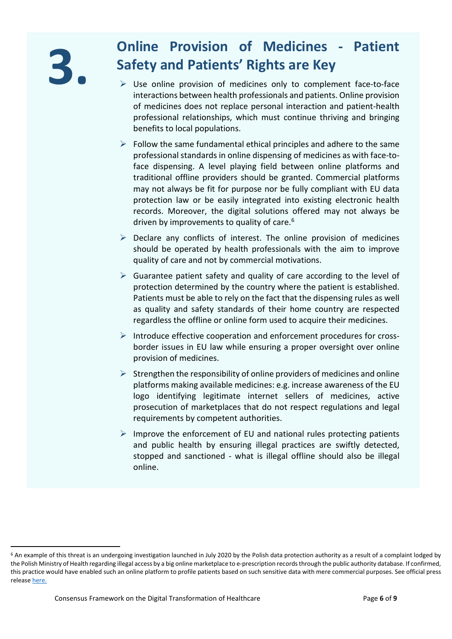## **3. Conserversion of Medicines - Patient <br>
<b>3. Safety and Patients' Rights are Key Safety and Patients' Rights are Key**

- $\triangleright$  Use online provision of medicines only to complement face-to-face interactions between health professionals and patients. Online provision of medicines does not replace personal interaction and patient-health professional relationships, which must continue thriving and bringing benefits to local populations.
- $\triangleright$  Follow the same fundamental ethical principles and adhere to the same professional standards in online dispensing of medicines as with face-toface dispensing. A level playing field between online platforms and traditional offline providers should be granted. Commercial platforms may not always be fit for purpose nor be fully compliant with EU data protection law or be easily integrated into existing electronic health records. Moreover, the digital solutions offered may not always be driven by improvements to quality of care.<sup>[6](#page-5-0)</sup>
- $\triangleright$  Declare any conflicts of interest. The online provision of medicines should be operated by health professionals with the aim to improve quality of care and not by commercial motivations.
- $\triangleright$  Guarantee patient safety and quality of care according to the level of protection determined by the country where the patient is established. Patients must be able to rely on the fact that the dispensing rules as well as quality and safety standards of their home country are respected regardless the offline or online form used to acquire their medicines.
- $\triangleright$  Introduce effective cooperation and enforcement procedures for crossborder issues in EU law while ensuring a proper oversight over online provision of medicines.
- $\triangleright$  Strengthen the responsibility of online providers of medicines and online platforms making available medicines: e.g. increase awareness of the EU logo identifying legitimate internet sellers of medicines, active prosecution of marketplaces that do not respect regulations and legal requirements by competent authorities.
- $\triangleright$  Improve the enforcement of EU and national rules protecting patients and public health by ensuring illegal practices are swiftly detected, stopped and sanctioned - what is illegal offline should also be illegal online.

<span id="page-5-0"></span><sup>&</sup>lt;sup>6</sup> An example of this threat is an undergoing investigation launched in July 2020 by the Polish data protection authority as a result of a complaint lodged by the Polish Ministry of Health regarding illegal access by a big online marketplace to e-prescription records through the public authority database. If confirmed, this practice would have enabled such an online platform to profile patients based on such sensitive data with mere commercial purposes. See official press releas[e here.](https://uodo.gov.pl/pl/138/1581)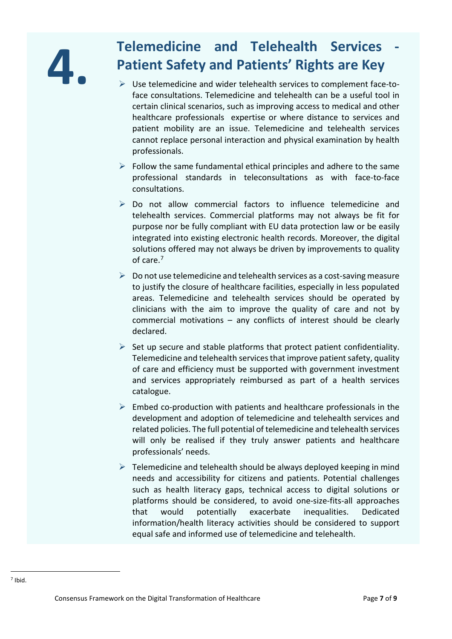# **4. Telemedicine and Telehealth Services**<br>**4. Patient Safety and Patients' Rights are Key**<br>by Use telemedicine and wider telehealth services to complement face-to-<br>face consultations. Telemedicine and telehealth can be a u **Patient Safety and Patients' Rights are Key**

- $\triangleright$  Use telemedicine and wider telehealth services to complement face-toface consultations. Telemedicine and telehealth can be a useful tool in certain clinical scenarios, such as improving access to medical and other healthcare professionals expertise or where distance to services and patient mobility are an issue. Telemedicine and telehealth services cannot replace personal interaction and physical examination by health professionals.
- $\triangleright$  Follow the same fundamental ethical principles and adhere to the same professional standards in teleconsultations as with face-to-face consultations.
- $\triangleright$  Do not allow commercial factors to influence telemedicine and telehealth services. Commercial platforms may not always be fit for purpose nor be fully compliant with EU data protection law or be easily integrated into existing electronic health records. Moreover, the digital solutions offered may not always be driven by improvements to quality of care.[7](#page-6-0)
- $\triangleright$  Do not use telemedicine and telehealth services as a cost-saving measure to justify the closure of healthcare facilities, especially in less populated areas. Telemedicine and telehealth services should be operated by clinicians with the aim to improve the quality of care and not by commercial motivations – any conflicts of interest should be clearly declared.
- $\triangleright$  Set up secure and stable platforms that protect patient confidentiality. Telemedicine and telehealth services that improve patient safety, quality of care and efficiency must be supported with government investment and services appropriately reimbursed as part of a health services catalogue.
- $\triangleright$  Embed co-production with patients and healthcare professionals in the development and adoption of telemedicine and telehealth services and related policies. The full potential of telemedicine and telehealth services will only be realised if they truly answer patients and healthcare professionals' needs.
- <span id="page-6-0"></span> $\triangleright$  Telemedicine and telehealth should be always deployed keeping in mind needs and accessibility for citizens and patients. Potential challenges such as health literacy gaps, technical access to digital solutions or platforms should be considered, to avoid one-size-fits-all approaches that would potentially exacerbate inequalities. Dedicated information/health literacy activities should be considered to support equal safe and informed use of telemedicine and telehealth.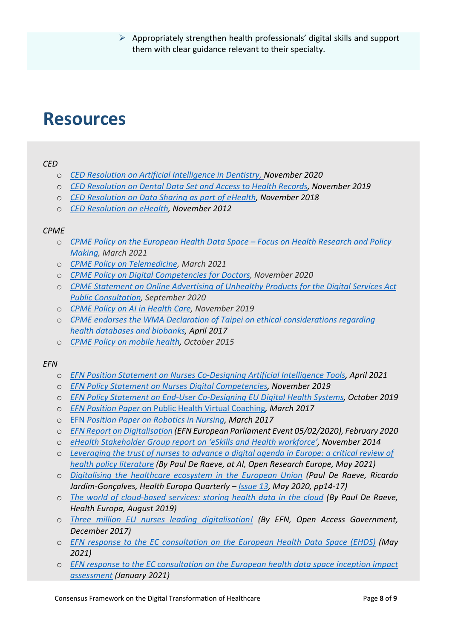$\triangleright$  Appropriately strengthen health professionals' digital skills and support them with clear guidance relevant to their specialty.

### **Resources**

### *CED*

- o *CED Resolution on Artificial [Intelligence](https://cedentists.eu/component/attachments/attachments.html?id=4762&task=download) in Dentistry, November 2020*
- o *[CED Resolution on Dental Data Set and Access to Health Records,](https://cedentists.eu/component/attachments/attachments.html?id=4288&task=download) November 2019*
- o *[CED Resolution on Data Sharing as part of eHealth,](https://cedentists.eu/component/attachments/attachments.html?id=3676&task=download) November 2018*
- o *[CED Resolution on eHealth,](https://cedentists.eu/component/attachments/attachments.html?id=418&task=download) November 2012*

### *CPME*

- o *[CPME Policy on the European Health Data Space –](https://www.cpme.eu/wp-content/uploads/adopted/2021/3/CPME_AD_Board_20032021_097.FINAL_.CPME_.Policy.on_.EU_.health.data_.space_.pdf) Focus on Health Research and Policy [Making,](https://www.cpme.eu/wp-content/uploads/adopted/2021/3/CPME_AD_Board_20032021_097.FINAL_.CPME_.Policy.on_.EU_.health.data_.space_.pdf) March 2021*
- o *[CPME Policy on Telemedicine,](https://www.cpme.eu/wp-content/uploads/adopted/2021/3/CPME_AD_Board_20032021_012.FINAL_.CPME_.Policy.on_.Telemedicine.pdf) March 2021*
- o *[CPME Policy on Digital Competencies for Doctors,](https://www.cpme.eu/wp-content/uploads/adopted/2020/11/CPME_AD_Board_21112020_100.FINAL_.CPME_.Policy.Digital.Competencies.for_.Doctors.pdf) November 2020*
- o *[CPME Statement on Online Advertising of Unhealthy Products for the Digital Services Act](https://www.cpme.eu/wp-content/uploads/adopted/2020/9/CPME_AD_EC_03092020_068_FINAL_EN_CPME.Statement.on_.DSA_.Consultation-1.pdf)  [Public Consultation,](https://www.cpme.eu/wp-content/uploads/adopted/2020/9/CPME_AD_EC_03092020_068_FINAL_EN_CPME.Statement.on_.DSA_.Consultation-1.pdf) September 2020*
- o *[CPME Policy on AI in Health Care,](https://www.cpme.eu/wp-content/uploads/adopted/2019/CPME.Board.Nov19.FINAL.EN.AIinhealthcare.pdf) November 2019*
- o *[CPME endorses the WMA Declaration of Taipei on ethical considerations regarding](https://www.cpme.eu/cpme-endorses-the-wma-declaration-of-taipei-on-ethical-considerations-regarding-health-databases-and-biobanks/)  [health databases and biobanks,](https://www.cpme.eu/cpme-endorses-the-wma-declaration-of-taipei-on-ethical-considerations-regarding-health-databases-and-biobanks/) April 2017*
- o *[CPME Policy on mobile health,](https://www.cpme.eu/index.php?downloadunprotected=/uploads/adopted/2015/CPME_AD_Board_31102015_095_FINAL_EN_Policy.on.Mobile.Health.mHealth.pdf) October 2015*

### *EFN*

- o *[EFN Position Statement on Nurses Co-Designing Artificial Intelligence Tools,](http://www.efnweb.be/wp-content/uploads/EFN-PS-on-Nurses-Co-Designing-Artificial-Intelligence-Tools.pdf) April 2021*
- o *[EFN Policy Statement on Nurses Digital Competencies,](http://www.efnweb.be/wp-content/uploads/EFN-Policy-Statement-on-Nurses-Digital-Competencies-Nov.2019.pdf) November 2019*
- o *[EFN Policy Statement on End-User Co-Designing EU Digital Health Systems,](http://www.efnweb.be/wp-content/uploads/EFN-Policy-Statement-on-end-user-co-designing-EU-digital-health-systems-22-10-2019.pdf) October 2019*
- o *EFN Position Paper* [on Public Health Virtual Coaching](http://www.efnweb.be/wp-content/uploads/EFN-Position-Paper-on-Public-Health-Virtual-Coaching1.pdf)*, March 2017*
- o EFN *[Position Paper on Robotics in Nursing,](http://www.efnweb.be/wp-content/uploads/EFN-Position-Paper-on-Robotics-in-Nursing1.pdf) March 2017*
- o *[EFN Report on Digitalisation](https://bit.ly/2YBLuTC) (EFN European Parliament Event 05/02/2020), February 2020*
- o *[eHealth Stakeholder Group report on 'eSkills and Health workforce',](http://www.efnweb.be/wp-content/uploads/eHSG-Report-on-eSkills-Health-Workforce-Final-28-11-2014.pdf) November 2014*
- o *[Leveraging the trust of nurses to advance a digital agenda in Europe: a critical review of](https://open-research-europe.ec.europa.eu/articles/1-26/v2)  [health policy literature](https://open-research-europe.ec.europa.eu/articles/1-26/v2) (By Paul De Raeve, at Al, Open Research Europe, May 2021)*
- o *[Digitalising the healthcare ecosystem in the European Union](http://www.efnweb.be/wp-content/uploads/H13-EFN.pdf) (Paul De Raeve, Ricardo Jardim-Gonçalves, Health Europa Quarterly – [Issue 13,](https://www.healtheuropa.eu/health-europa-quarterly-issue-13/99798/) May 2020, pp14-17)*
- o *[The world of cloud-based services: storing health data in the cloud](https://www.healtheuropa.eu/cloud-based-services-storing-health-data-in-the-cloud/93053/) (By Paul De Raeve, Health Europa, August 2019)*
- o *[Three million EU nurses leading digitalisation!](http://www.efnweb.be/wp-content/uploads/Three-million-EU-nurses-leading-digitalisation.pdf) (By EFN, Open Access Government, December 2017)*
- o *[EFN response to the EC consultation on the European Health Data Space \(EHDS\)](http://www.efnweb.be/wp-content/uploads/EFN-Input-EC-Consultation-EHDS-03-05-2021.pdf) (May 2021)*
- o *[EFN response to the EC consultation on the European health data space inception impact](http://www.efnweb.be/wp-content/uploads/sdghfh.pdf)  [assessment](http://www.efnweb.be/wp-content/uploads/sdghfh.pdf) (January 2021)*